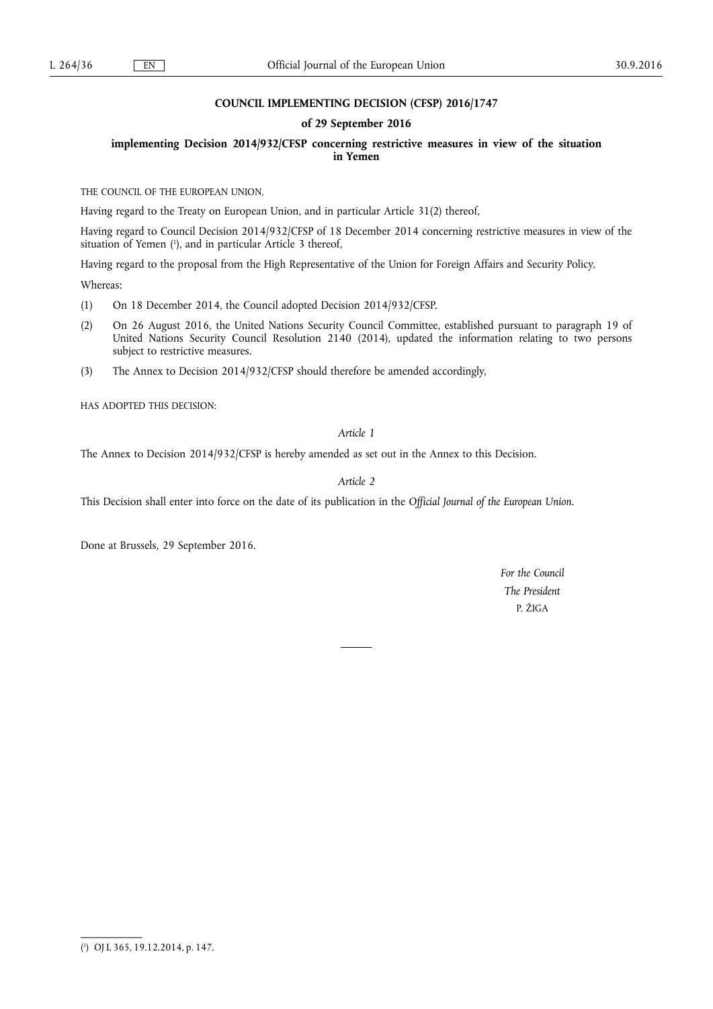# **COUNCIL IMPLEMENTING DECISION (CFSP) 2016/1747**

## **of 29 September 2016**

## **implementing Decision 2014/932/CFSP concerning restrictive measures in view of the situation in Yemen**

THE COUNCIL OF THE EUROPEAN UNION,

Having regard to the Treaty on European Union, and in particular Article 31(2) thereof,

Having regard to Council Decision 2014/932/CFSP of 18 December 2014 concerning restrictive measures in view of the situation of Yemen ( 1 ), and in particular Article 3 thereof,

Having regard to the proposal from the High Representative of the Union for Foreign Affairs and Security Policy,

Whereas:

- (1) On 18 December 2014, the Council adopted Decision 2014/932/CFSP.
- (2) On 26 August 2016, the United Nations Security Council Committee, established pursuant to paragraph 19 of United Nations Security Council Resolution 2140 (2014), updated the information relating to two persons subject to restrictive measures.
- (3) The Annex to Decision 2014/932/CFSP should therefore be amended accordingly,

HAS ADOPTED THIS DECISION:

## *Article 1*

The Annex to Decision 2014/932/CFSP is hereby amended as set out in the Annex to this Decision.

## *Article 2*

This Decision shall enter into force on the date of its publication in the *Official Journal of the European Union*.

Done at Brussels, 29 September 2016.

*For the Council The President*  P. ŽIGA

<sup>(</sup> 1 ) OJ L 365, 19.12.2014, p. 147.